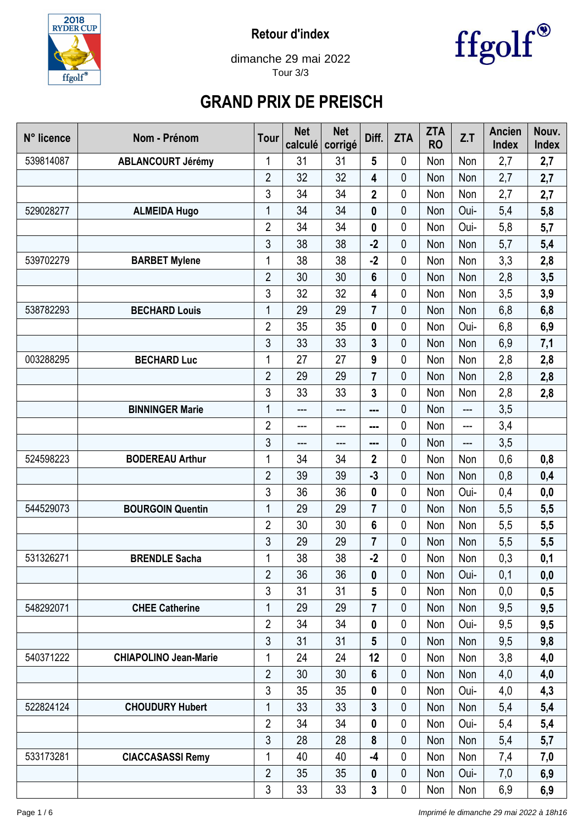

**Retour d'index**



dimanche 29 mai 2022 Tour 3/3

## **GRAND PRIX DE PREISCH**

| N° licence | Nom - Prénom                 | <b>Tour</b>    | <b>Net</b><br>calculé | <b>Net</b><br>corrigé | Diff.                   | <b>ZTA</b> | <b>ZTA</b><br><b>RO</b> | Z.T  | <b>Ancien</b><br><b>Index</b> | Nouv.<br><b>Index</b> |
|------------|------------------------------|----------------|-----------------------|-----------------------|-------------------------|------------|-------------------------|------|-------------------------------|-----------------------|
| 539814087  | <b>ABLANCOURT Jérémy</b>     | 1              | 31                    | 31                    | 5                       | 0          | Non                     | Non  | 2,7                           | 2,7                   |
|            |                              | $\overline{2}$ | 32                    | 32                    | 4                       | 0          | Non                     | Non  | 2,7                           | 2,7                   |
|            |                              | 3              | 34                    | 34                    | $\overline{\mathbf{2}}$ | 0          | Non                     | Non  | 2,7                           | 2,7                   |
| 529028277  | <b>ALMEIDA Hugo</b>          | 1              | 34                    | 34                    | $\boldsymbol{0}$        | 0          | Non                     | Oui- | 5,4                           | 5,8                   |
|            |                              | $\overline{2}$ | 34                    | 34                    | $\boldsymbol{0}$        | 0          | Non                     | Oui- | 5,8                           | 5,7                   |
|            |                              | 3              | 38                    | 38                    | $-2$                    | 0          | Non                     | Non  | 5,7                           | 5,4                   |
| 539702279  | <b>BARBET Mylene</b>         | 1              | 38                    | 38                    | $-2$                    | 0          | Non                     | Non  | 3,3                           | 2,8                   |
|            |                              | $\overline{2}$ | 30                    | 30                    | 6                       | 0          | Non                     | Non  | 2,8                           | 3,5                   |
|            |                              | 3              | 32                    | 32                    | 4                       | 0          | Non                     | Non  | 3,5                           | 3,9                   |
| 538782293  | <b>BECHARD Louis</b>         | 1              | 29                    | 29                    | $\overline{7}$          | 0          | Non                     | Non  | 6,8                           | 6,8                   |
|            |                              | $\overline{2}$ | 35                    | 35                    | 0                       | 0          | Non                     | Oui- | 6,8                           | 6,9                   |
|            |                              | 3              | 33                    | 33                    | 3                       | 0          | Non                     | Non  | 6,9                           | 7,1                   |
| 003288295  | <b>BECHARD Luc</b>           | 1              | 27                    | 27                    | 9                       | 0          | Non                     | Non  | 2,8                           | 2,8                   |
|            |                              | $\overline{2}$ | 29                    | 29                    | $\overline{7}$          | 0          | Non                     | Non  | 2,8                           | 2,8                   |
|            |                              | 3              | 33                    | 33                    | 3                       | 0          | Non                     | Non  | 2,8                           | 2,8                   |
|            | <b>BINNINGER Marie</b>       | 1              | ---                   | ---                   | ---                     | 0          | Non                     | ---  | 3,5                           |                       |
|            |                              | $\overline{2}$ | ---                   | ---                   | ---                     | 0          | Non                     | ---  | 3,4                           |                       |
|            |                              | 3              | ---                   | ---                   | ---                     | 0          | Non                     | ---  | 3,5                           |                       |
| 524598223  | <b>BODEREAU Arthur</b>       | 1              | 34                    | 34                    | 2                       | 0          | Non                     | Non  | 0,6                           | 0,8                   |
|            |                              | $\overline{2}$ | 39                    | 39                    | $-3$                    | 0          | Non                     | Non  | 0,8                           | 0,4                   |
|            |                              | 3              | 36                    | 36                    | 0                       | 0          | Non                     | Oui- | 0,4                           | 0,0                   |
| 544529073  | <b>BOURGOIN Quentin</b>      | 1              | 29                    | 29                    | $\overline{\mathbf{r}}$ | 0          | Non                     | Non  | 5,5                           | 5,5                   |
|            |                              | $\overline{2}$ | 30                    | 30                    | 6                       | 0          | Non                     | Non  | 5,5                           | 5,5                   |
|            |                              | 3              | 29                    | 29                    | $\overline{\mathbf{r}}$ | 0          | Non                     | Non  | 5,5                           | 5,5                   |
| 531326271  | <b>BRENDLE Sacha</b>         | 1              | 38                    | 38                    | $-2$                    | 0          | Non                     | Non  | 0,3                           | 0,1                   |
|            |                              | $\overline{2}$ | 36                    | 36                    | 0                       | 0          | Non                     | Oui- | 0,1                           | 0,0                   |
|            |                              | 3              | 31                    | 31                    | 5                       | 0          | Non                     | Non  | 0,0                           | 0,5                   |
| 548292071  | <b>CHEE Catherine</b>        | 1              | 29                    | 29                    | $\overline{\mathbf{r}}$ | 0          | Non                     | Non  | 9,5                           | 9,5                   |
|            |                              | $\overline{2}$ | 34                    | 34                    | 0                       | 0          | Non                     | Oui- | 9,5                           | 9,5                   |
|            |                              | 3              | 31                    | 31                    | 5                       | 0          | Non                     | Non  | 9,5                           | 9,8                   |
| 540371222  | <b>CHIAPOLINO Jean-Marie</b> | 1              | 24                    | 24                    | 12                      | 0          | Non                     | Non  | 3,8                           | 4,0                   |
|            |                              | $\overline{2}$ | 30                    | 30                    | 6                       | 0          | Non                     | Non  | 4,0                           | 4,0                   |
|            |                              | 3              | 35                    | 35                    | 0                       | 0          | Non                     | Oui- | 4,0                           | 4,3                   |
| 522824124  | <b>CHOUDURY Hubert</b>       | 1              | 33                    | 33                    | 3                       | 0          | Non                     | Non  | 5,4                           | 5,4                   |
|            |                              | $\overline{2}$ | 34                    | 34                    | 0                       | 0          | Non                     | Oui- | 5,4                           | 5,4                   |
|            |                              | 3              | 28                    | 28                    | 8                       | 0          | Non                     | Non  | 5,4                           | 5,7                   |
| 533173281  | <b>CIACCASASSI Remy</b>      | 1              | 40                    | 40                    | -4                      | 0          | Non                     | Non  | 7,4                           | 7,0                   |
|            |                              | $\overline{2}$ | 35                    | 35                    | 0                       | 0          | Non                     | Oui- | 7,0                           | 6,9                   |
|            |                              | 3              | 33                    | 33                    | 3                       | 0          | Non                     | Non  | 6,9                           | 6,9                   |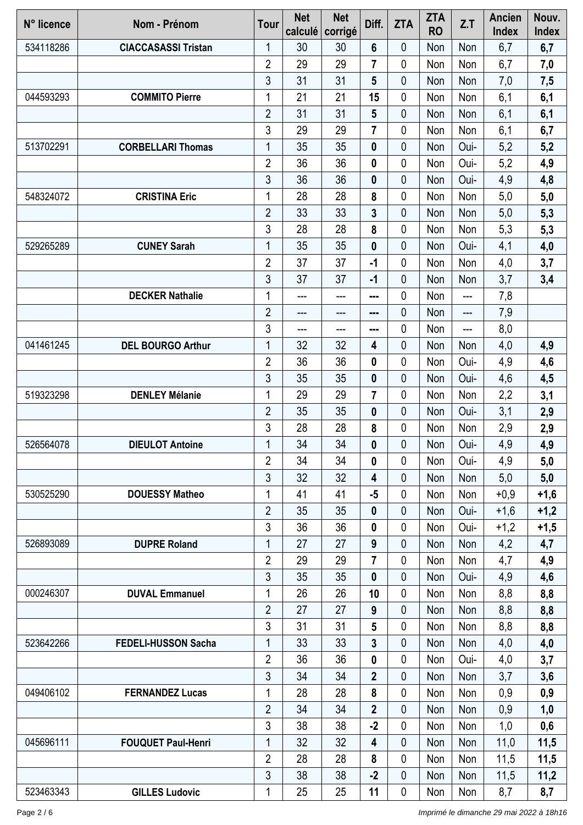| N° licence | Nom - Prénom               | Tour           | <b>Net</b><br>calculé | <b>Net</b><br>corrigé | Diff.            | <b>ZTA</b>  | <b>ZTA</b><br><b>RO</b> | Z.T   | Ancien<br>Index | Nouv.<br>Index |
|------------|----------------------------|----------------|-----------------------|-----------------------|------------------|-------------|-------------------------|-------|-----------------|----------------|
| 534118286  | <b>CIACCASASSI Tristan</b> | 1              | 30                    | 30                    | 6                | 0           | Non                     | Non   | 6,7             | 6,7            |
|            |                            | $\overline{2}$ | 29                    | 29                    | $\overline{7}$   | 0           | Non                     | Non   | 6,7             | 7,0            |
|            |                            | 3              | 31                    | 31                    | 5                | 0           | Non                     | Non   | 7,0             | 7,5            |
| 044593293  | <b>COMMITO Pierre</b>      | 1              | 21                    | 21                    | 15               | 0           | Non                     | Non   | 6,1             | 6,1            |
|            |                            | $\overline{2}$ | 31                    | 31                    | 5                | 0           | Non                     | Non   | 6,1             | 6,1            |
|            |                            | 3              | 29                    | 29                    | $\overline{7}$   | 0           | Non                     | Non   | 6,1             | 6,7            |
| 513702291  | <b>CORBELLARI Thomas</b>   | 1              | 35                    | 35                    | 0                | 0           | Non                     | Oui-  | 5,2             | 5,2            |
|            |                            | $\overline{2}$ | 36                    | 36                    | $\boldsymbol{0}$ | 0           | Non                     | Oui-  | 5,2             | 4,9            |
|            |                            | 3              | 36                    | 36                    | $\bf{0}$         | 0           | Non                     | Oui-  | 4,9             | 4,8            |
| 548324072  | <b>CRISTINA Eric</b>       | 1              | 28                    | 28                    | 8                | 0           | Non                     | Non   | 5,0             | 5,0            |
|            |                            | $\overline{2}$ | 33                    | 33                    | 3                | 0           | Non                     | Non   | 5,0             | 5,3            |
|            |                            | 3              | 28                    | 28                    | 8                | 0           | Non                     | Non   | 5,3             | 5,3            |
| 529265289  | <b>CUNEY Sarah</b>         | 1              | 35                    | 35                    | $\bf{0}$         | $\mathbf 0$ | Non                     | Oui-  | 4,1             | 4,0            |
|            |                            | $\overline{2}$ | 37                    | 37                    | $-1$             | $\mathbf 0$ | Non                     | Non   | 4,0             | 3,7            |
|            |                            | 3              | 37                    | 37                    | $-1$             | 0           | Non                     | Non   | 3,7             | 3,4            |
|            | <b>DECKER Nathalie</b>     | 1              | ---                   | ---                   | ---              | 0           | Non                     | $---$ | 7,8             |                |
|            |                            | $\overline{2}$ | ---                   | ---                   | ---              | 0           | Non                     | ---   | 7,9             |                |
|            |                            | 3              | ---                   | ---                   | ---              | 0           | Non                     | ---   | 8,0             |                |
| 041461245  | <b>DEL BOURGO Arthur</b>   | 1              | 32                    | 32                    | 4                | 0           | Non                     | Non   | 4,0             | 4,9            |
|            |                            | $\overline{2}$ | 36                    | 36                    | 0                | 0           | Non                     | Oui-  | 4,9             | 4,6            |
|            |                            | 3              | 35                    | 35                    | $\bf{0}$         | 0           | Non                     | Oui-  | 4,6             | 4,5            |
| 519323298  | <b>DENLEY Mélanie</b>      | 1              | 29                    | 29                    | 7                | 0           | Non                     | Non   | 2,2             | 3,1            |
|            |                            | $\overline{2}$ | 35                    | 35                    | $\bf{0}$         | 0           | Non                     | Oui-  | 3,1             | 2,9            |
|            |                            | 3              | 28                    | 28                    | 8                | 0           | Non                     | Non   | 2,9             | 2,9            |
| 526564078  | <b>DIEULOT Antoine</b>     | 1              | 34                    | 34                    | 0                | 0           | Non                     | Oui-  | 4,9             | 4,9            |
|            |                            | $\overline{2}$ | 34                    | 34                    | 0                | 0           | Non                     | Oui-  | 4,9             | 5,0            |
|            |                            | 3              | 32                    | 32                    | 4                | 0           | Non                     | Non   | 5,0             | 5,0            |
| 530525290  | <b>DOUESSY Matheo</b>      | 1              | 41                    | 41                    | $-5$             | 0           | Non                     | Non   | $+0,9$          | $+1,6$         |
|            |                            | $\overline{2}$ | 35                    | 35                    | $\bf{0}$         | 0           | Non                     | Oui-  | $+1,6$          | $+1,2$         |
|            |                            | 3              | 36                    | 36                    | 0                | $\mathbf 0$ | Non                     | Oui-  | $+1,2$          | $+1,5$         |
| 526893089  | <b>DUPRE Roland</b>        | 1              | 27                    | 27                    | 9                | 0           | Non                     | Non   | 4,2             | 4,7            |
|            |                            | $\overline{2}$ | 29                    | 29                    | 7                | $\mathbf 0$ | Non                     | Non   | 4,7             | 4,9            |
|            |                            | 3              | 35                    | 35                    | $\bf{0}$         | 0           | Non                     | Oui-  | 4,9             | 4,6            |
| 000246307  | <b>DUVAL Emmanuel</b>      | 1              | 26                    | 26                    | 10               | 0           | Non                     | Non   | 8,8             | 8,8            |
|            |                            | $\overline{2}$ | 27                    | 27                    | 9                | 0           | Non                     | Non   | 8,8             | 8,8            |
|            |                            | 3              | 31                    | 31                    | 5                | 0           | Non                     | Non   | 8,8             | 8,8            |
| 523642266  | <b>FEDELI-HUSSON Sacha</b> | 1              | 33                    | 33                    | 3                | 0           | Non                     | Non   | 4,0             | 4,0            |
|            |                            | $\overline{2}$ | 36                    | 36                    | 0                | 0           | Non                     | Oui-  | 4,0             | 3,7            |
|            |                            | 3              | 34                    | 34                    | $\overline{2}$   | 0           | Non                     | Non   | 3,7             | 3,6            |
| 049406102  | <b>FERNANDEZ Lucas</b>     | 1              | 28                    | 28                    | 8                | $\mathbf 0$ | Non                     | Non   | 0,9             | 0,9            |
|            |                            | $\overline{2}$ | 34                    | 34                    | $\overline{2}$   | 0           | Non                     | Non   | 0,9             | 1,0            |
|            |                            | 3              | 38                    | 38                    | $-2$             | 0           | Non                     | Non   | 1,0             | 0,6            |
| 045696111  | <b>FOUQUET Paul-Henri</b>  | 1              | 32                    | 32                    | 4                | 0           | Non                     | Non   | 11,0            | 11,5           |
|            |                            | $\overline{2}$ | 28                    | 28                    | 8                | 0           | Non                     | Non   | 11,5            | 11,5           |
|            |                            | 3              | 38                    | 38                    | $-2$             | 0           | Non                     | Non   | 11,5            | 11,2           |
| 523463343  | <b>GILLES Ludovic</b>      | 1              | 25                    | 25                    | 11               | 0           | Non                     | Non   | 8,7             | 8,7            |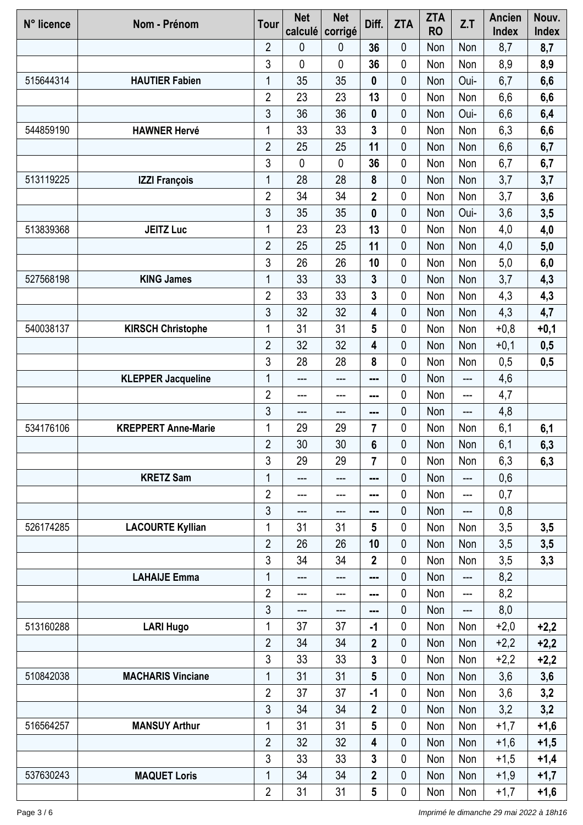| N° licence | Nom - Prénom               | <b>Tour</b>    | <b>Net</b><br>calculé | <b>Net</b><br>corrigé | Diff.                   | <b>ZTA</b> | <b>ZTA</b><br><b>RO</b> | Z.T   | <b>Ancien</b><br><b>Index</b> | Nouv.<br><b>Index</b> |
|------------|----------------------------|----------------|-----------------------|-----------------------|-------------------------|------------|-------------------------|-------|-------------------------------|-----------------------|
|            |                            | 2              | 0                     | 0                     | 36                      | 0          | Non                     | Non   | 8,7                           | 8,7                   |
|            |                            | 3              | $\mathbf 0$           | 0                     | 36                      | 0          | Non                     | Non   | 8,9                           | 8,9                   |
| 515644314  | <b>HAUTIER Fabien</b>      | 1              | 35                    | 35                    | $\boldsymbol{0}$        | 0          | Non                     | Oui-  | 6,7                           | 6,6                   |
|            |                            | $\overline{2}$ | 23                    | 23                    | 13                      | 0          | Non                     | Non   | 6,6                           | 6,6                   |
|            |                            | 3              | 36                    | 36                    | 0                       | 0          | Non                     | Oui-  | 6,6                           | 6,4                   |
| 544859190  | <b>HAWNER Hervé</b>        | 1              | 33                    | 33                    | 3                       | 0          | Non                     | Non   | 6,3                           | 6,6                   |
|            |                            | $\overline{2}$ | 25                    | 25                    | 11                      | 0          | Non                     | Non   | 6,6                           | 6,7                   |
|            |                            | 3              | $\mathbf 0$           | $\mathbf 0$           | 36                      | 0          | Non                     | Non   | 6,7                           | 6,7                   |
| 513119225  | <b>IZZI François</b>       | 1              | 28                    | 28                    | 8                       | 0          | Non                     | Non   | 3,7                           | 3,7                   |
|            |                            | $\overline{2}$ | 34                    | 34                    | $\overline{2}$          | 0          | Non                     | Non   | 3,7                           | 3,6                   |
|            |                            | 3              | 35                    | 35                    | 0                       | 0          | Non                     | Oui-  | 3,6                           | 3,5                   |
| 513839368  | <b>JEITZ Luc</b>           | 1              | 23                    | 23                    | 13                      | 0          | Non                     | Non   | 4,0                           | 4,0                   |
|            |                            | $\overline{2}$ | 25                    | 25                    | 11                      | 0          | Non                     | Non   | 4,0                           | 5,0                   |
|            |                            | 3              | 26                    | 26                    | 10                      | 0          | Non                     | Non   | 5,0                           | 6,0                   |
| 527568198  | <b>KING James</b>          | 1              | 33                    | 33                    | 3                       | 0          | Non                     | Non   | 3,7                           | 4,3                   |
|            |                            | $\overline{2}$ | 33                    | 33                    | 3                       | 0          | Non                     | Non   | 4,3                           | 4,3                   |
|            |                            | 3              | 32                    | 32                    | 4                       | 0          | Non                     | Non   | 4,3                           | 4,7                   |
| 540038137  | <b>KIRSCH Christophe</b>   | 1              | 31                    | 31                    | 5                       | 0          | Non                     | Non   | $+0,8$                        | $+0,1$                |
|            |                            | $\overline{2}$ | 32                    | 32                    | 4                       | 0          | Non                     | Non   | $+0,1$                        | 0,5                   |
|            |                            | 3              | 28                    | 28                    | 8                       | 0          | Non                     | Non   | 0,5                           | 0,5                   |
|            | <b>KLEPPER Jacqueline</b>  | 1              | $---$                 | ---                   | ---                     | 0          | Non                     | $---$ | 4,6                           |                       |
|            |                            | $\overline{2}$ | ---                   | ---                   |                         | 0          | Non                     | ---   | 4,7                           |                       |
|            |                            | 3              | ---                   | ---                   | ---                     | 0          | Non                     | ---   | 4,8                           |                       |
| 534176106  | <b>KREPPERT Anne-Marie</b> | 1              | 29                    | 29                    | 7                       | 0          | Non                     | Non   | 6,1                           | 6,1                   |
|            |                            | $\overline{2}$ | 30                    | 30                    | 6                       | 0          | Non                     | Non   | 6,1                           | 6,3                   |
|            |                            | 3              | 29                    | 29                    | $\overline{7}$          | 0          | Non                     | Non   | 6,3                           | 6,3                   |
|            | <b>KRETZ Sam</b>           | 1              | ---                   | ---                   | ---                     | 0          | Non                     | $---$ | 0,6                           |                       |
|            |                            | $\overline{2}$ | ---                   | ---                   | ---                     | 0          | Non                     | ---   | 0,7                           |                       |
|            |                            | 3              | ---                   | ---                   | ---                     | 0          | Non                     | ---   | 0,8                           |                       |
| 526174285  | <b>LACOURTE Kyllian</b>    | 1              | 31                    | 31                    | 5                       | 0          | Non                     | Non   | 3,5                           | 3,5                   |
|            |                            | $\overline{2}$ | 26                    | 26                    | 10                      | 0          | Non                     | Non   | 3,5                           | 3,5                   |
|            |                            | 3              | 34                    | 34                    | $\overline{2}$          | 0          | Non                     | Non   | 3,5                           | 3,3                   |
|            | <b>LAHAIJE Emma</b>        | 1              | ---                   | ---                   | ---                     | 0          | Non                     | $---$ | 8,2                           |                       |
|            |                            | $\overline{2}$ | ---                   | ---                   | ---                     | 0          | Non                     | ---   | 8,2                           |                       |
|            |                            | 3              | ---                   | ---                   | ---                     | 0          | Non                     | ---   | 8,0                           |                       |
| 513160288  | <b>LARI Hugo</b>           | 1              | 37                    | 37                    | -1                      | 0          | Non                     | Non   | $+2,0$                        | $+2,2$                |
|            |                            | $\overline{2}$ | 34                    | 34                    | $\overline{2}$          | 0          | Non                     | Non   | $+2,2$                        | $+2,2$                |
|            |                            | 3              | 33                    | 33                    | 3                       | 0          | Non                     | Non   | $+2,2$                        | $+2,2$                |
| 510842038  | <b>MACHARIS Vinciane</b>   | 1              | 31                    | 31                    | 5                       | 0          | Non                     | Non   | 3,6                           | 3,6                   |
|            |                            | $\overline{2}$ | 37                    | 37                    | $-1$                    | 0          | Non                     | Non   | 3,6                           | 3,2                   |
|            |                            | 3              | 34                    | 34                    | $\overline{2}$          | 0          | Non                     | Non   | 3,2                           | 3,2                   |
| 516564257  | <b>MANSUY Arthur</b>       | 1              | 31                    | 31                    | 5                       | 0          | Non                     | Non   | $+1,7$                        | $+1,6$                |
|            |                            | $\overline{2}$ | 32                    | 32                    | 4                       | 0          | Non                     | Non   | $+1,6$                        | $+1,5$                |
|            |                            | 3              | 33                    | 33                    | 3                       | 0          | Non                     | Non   | $+1,5$                        | $+1,4$                |
| 537630243  | <b>MAQUET Loris</b>        | 1              | 34                    | 34                    | $\overline{\mathbf{2}}$ | 0          | Non                     | Non   | $+1,9$                        | $+1,7$                |
|            |                            | $\overline{2}$ | 31                    | 31                    | 5                       | 0          | Non                     | Non   | $+1,7$                        | $+1,6$                |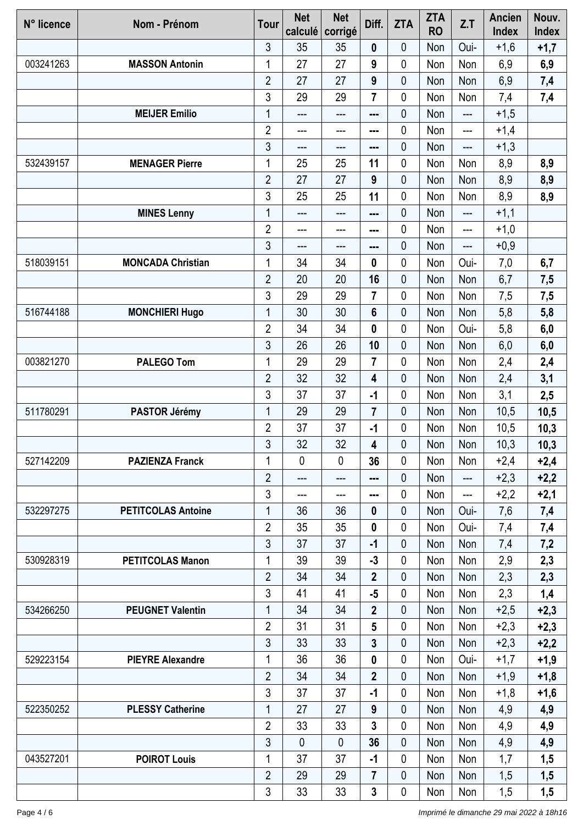| N° licence | Nom - Prénom              | <b>Tour</b>    | <b>Net</b><br>calculé | <b>Net</b><br>corrigé | Diff.                   | <b>ZTA</b>  | <b>ZTA</b><br><b>RO</b> | Z.T  | <b>Ancien</b><br><b>Index</b> | Nouv.<br><b>Index</b> |
|------------|---------------------------|----------------|-----------------------|-----------------------|-------------------------|-------------|-------------------------|------|-------------------------------|-----------------------|
|            |                           | 3              | 35                    | 35                    | 0                       | 0           | Non                     | Oui- | $+1,6$                        | $+1,7$                |
| 003241263  | <b>MASSON Antonin</b>     | 1              | 27                    | 27                    | 9                       | $\mathbf 0$ | Non                     | Non  | 6,9                           | 6,9                   |
|            |                           | $\overline{2}$ | 27                    | 27                    | 9                       | 0           | Non                     | Non  | 6,9                           | 7,4                   |
|            |                           | 3              | 29                    | 29                    | $\overline{7}$          | 0           | Non                     | Non  | 7,4                           | 7,4                   |
|            | <b>MEIJER Emilio</b>      | 1              | ---                   | ---                   | ---                     | $\pmb{0}$   | Non                     | ---  | $+1,5$                        |                       |
|            |                           | $\overline{2}$ | ---                   | ---                   | ---                     | 0           | Non                     | ---  | $+1,4$                        |                       |
|            |                           | 3              | ---                   | ---                   | ---                     | $\pmb{0}$   | Non                     | ---  | $+1,3$                        |                       |
| 532439157  | <b>MENAGER Pierre</b>     | 1              | 25                    | 25                    | 11                      | $\mathbf 0$ | Non                     | Non  | 8,9                           | 8,9                   |
|            |                           | $\overline{2}$ | 27                    | 27                    | 9                       | $\mathbf 0$ | Non                     | Non  | 8,9                           | 8,9                   |
|            |                           | 3              | 25                    | 25                    | 11                      | 0           | Non                     | Non  | 8,9                           | 8,9                   |
|            | <b>MINES Lenny</b>        | 1              | ---                   | ---                   | $- - -$                 | 0           | Non                     | ---  | $+1,1$                        |                       |
|            |                           | $\overline{2}$ | ---                   | ---                   | ---                     | 0           | Non                     | ---  | $+1,0$                        |                       |
|            |                           | $\mathfrak{Z}$ | ---                   | ---                   | ---                     | $\mathbf 0$ | Non                     | ---  | $+0,9$                        |                       |
| 518039151  | <b>MONCADA Christian</b>  | 1              | 34                    | 34                    | 0                       | 0           | Non                     | Oui- | 7,0                           | 6,7                   |
|            |                           | $\overline{2}$ | 20                    | 20                    | 16                      | 0           | Non                     | Non  | 6,7                           | 7,5                   |
|            |                           | 3              | 29                    | 29                    | $\overline{7}$          | 0           | Non                     | Non  | 7,5                           | 7,5                   |
| 516744188  | <b>MONCHIERI Hugo</b>     | 1              | 30                    | 30                    | $6\phantom{a}$          | 0           | Non                     | Non  | 5,8                           | 5,8                   |
|            |                           | $\overline{2}$ | 34                    | 34                    | 0                       | $\mathbf 0$ | Non                     | Oui- | 5,8                           | 6,0                   |
|            |                           | 3              | 26                    | 26                    | 10                      | $\mathbf 0$ | Non                     | Non  | 6,0                           | 6,0                   |
| 003821270  | <b>PALEGO Tom</b>         | 1              | 29                    | 29                    | $\overline{7}$          | 0           | Non                     | Non  | 2,4                           | 2,4                   |
|            |                           | $\overline{2}$ | 32                    | 32                    | 4                       | $\mathbf 0$ | Non                     | Non  | 2,4                           | 3,1                   |
|            |                           | 3              | 37                    | 37                    | $-1$                    | 0           | Non                     | Non  | 3,1                           | 2,5                   |
| 511780291  | PASTOR Jérémy             | 1              | 29                    | 29                    | $\overline{\mathbf{r}}$ | 0           | Non                     | Non  | 10,5                          | 10,5                  |
|            |                           | $\overline{2}$ | 37                    | 37                    | $-1$                    | 0           | Non                     | Non  | 10,5                          | 10,3                  |
|            |                           | 3              | 32                    | 32                    | 4                       | 0           | Non                     | Non  | 10,3                          | 10,3                  |
| 527142209  | <b>PAZIENZA Franck</b>    | 1              | $\mathbf{0}$          | 0                     | 36                      | 0           | Non                     | Non  | $+2,4$                        | $+2,4$                |
|            |                           | $\overline{2}$ | $---$                 | $---$                 | ---                     | 0           | Non                     | ---  | $+2,3$                        | $+2,2$                |
|            |                           | 3              | ---                   | ---                   | ---                     | 0           | Non                     | ---  | $+2,2$                        | $+2,1$                |
| 532297275  | <b>PETITCOLAS Antoine</b> | 1              | 36                    | 36                    | 0                       | $\mathbf 0$ | Non                     | Oui- | 7,6                           | 7,4                   |
|            |                           | $\overline{2}$ | 35                    | 35                    | 0                       | $\mathbf 0$ | Non                     | Oui- | 7,4                           | 7,4                   |
|            |                           | 3              | 37                    | 37                    | $-1$                    | 0           | Non                     | Non  | 7,4                           | 7,2                   |
| 530928319  | <b>PETITCOLAS Manon</b>   | 1              | 39                    | 39                    | $-3$                    | 0           | Non                     | Non  | 2,9                           | 2,3                   |
|            |                           | $\overline{2}$ | 34                    | 34                    | $\mathbf{2}$            | 0           | Non                     | Non  | 2,3                           | 2,3                   |
|            |                           | 3              | 41                    | 41                    | $-5$                    | 0           | Non                     | Non  | 2,3                           | 1,4                   |
| 534266250  | <b>PEUGNET Valentin</b>   | $\mathbf{1}$   | 34                    | 34                    | $\overline{2}$          | $\mathbf 0$ | Non                     | Non  | $+2,5$                        | $+2,3$                |
|            |                           | $\overline{2}$ | 31                    | 31                    | 5                       | 0           | Non                     | Non  | $+2,3$                        | $+2,3$                |
|            |                           | 3              | 33                    | 33                    | 3                       | 0           | Non                     | Non  | $+2,3$                        | $+2,2$                |
| 529223154  | <b>PIEYRE Alexandre</b>   | 1              | 36                    | 36                    | 0                       | 0           | Non                     | Oui- | $+1,7$                        | $+1,9$                |
|            |                           | $\overline{2}$ | 34                    | 34                    | $\overline{\mathbf{2}}$ | 0           | Non                     | Non  | $+1,9$                        | $+1,8$                |
|            |                           | 3              | 37                    | 37                    | $-1$                    | 0           | Non                     | Non  | $+1,8$                        | $+1,6$                |
| 522350252  | <b>PLESSY Catherine</b>   | 1              | 27                    | 27                    | 9                       | 0           | Non                     | Non  | 4,9                           | 4,9                   |
|            |                           | $\overline{2}$ | 33                    | 33                    | 3                       | 0           | Non                     | Non  | 4,9                           | 4,9                   |
|            |                           | 3              | $\mathbf{0}$          | 0                     | 36                      | 0           | Non                     | Non  | 4,9                           | 4,9                   |
| 043527201  | <b>POIROT Louis</b>       | 1              | 37                    | 37                    | $-1$                    | 0           | Non                     | Non  | 1,7                           | 1,5                   |
|            |                           | $\overline{2}$ | 29                    | 29                    | 7                       | 0           | Non                     | Non  | 1,5                           | 1,5                   |
|            |                           | $\mathfrak{S}$ | 33                    | 33                    | $\mathbf{3}$            | $\pmb{0}$   | Non                     | Non  | 1,5                           | 1,5                   |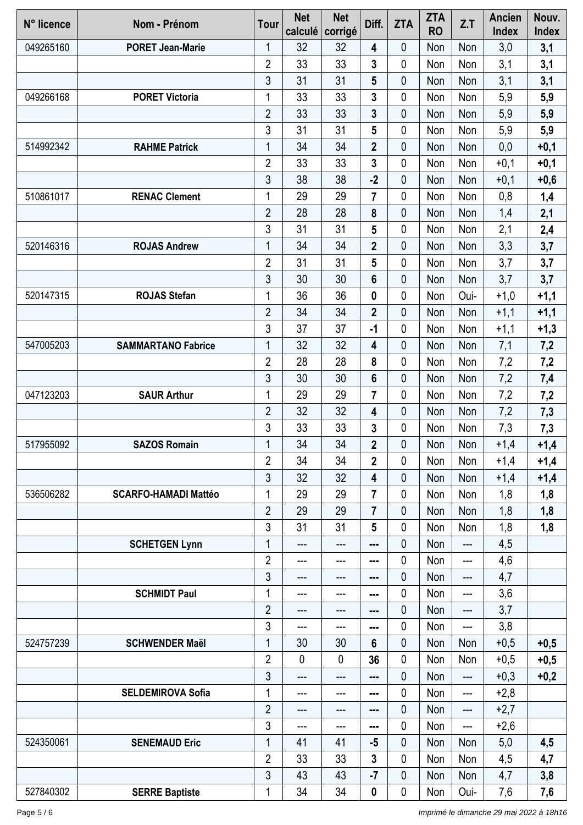| N° licence | Nom - Prénom                | <b>Tour</b>    | <b>Net</b><br>calculé | <b>Net</b><br>corrigé | Diff.                   | <b>ZTA</b>  | <b>ZTA</b><br><b>RO</b> | Z.T  | <b>Ancien</b><br><b>Index</b> | Nouv.<br>Index |
|------------|-----------------------------|----------------|-----------------------|-----------------------|-------------------------|-------------|-------------------------|------|-------------------------------|----------------|
| 049265160  | <b>PORET Jean-Marie</b>     | 1              | 32                    | 32                    | 4                       | 0           | Non                     | Non  | 3,0                           | 3,1            |
|            |                             | $\overline{2}$ | 33                    | 33                    | 3                       | $\mathbf 0$ | Non                     | Non  | 3,1                           | 3,1            |
|            |                             | 3              | 31                    | 31                    | 5                       | 0           | Non                     | Non  | 3,1                           | 3,1            |
| 049266168  | <b>PORET Victoria</b>       | 1              | 33                    | 33                    | 3                       | 0           | Non                     | Non  | 5,9                           | 5,9            |
|            |                             | $\overline{2}$ | 33                    | 33                    | 3                       | 0           | Non                     | Non  | 5,9                           | 5,9            |
|            |                             | 3              | 31                    | 31                    | 5                       | 0           | Non                     | Non  | 5,9                           | 5,9            |
| 514992342  | <b>RAHME Patrick</b>        | 1              | 34                    | 34                    | $\overline{2}$          | $\mathbf 0$ | Non                     | Non  | 0,0                           | $+0,1$         |
|            |                             | $\overline{2}$ | 33                    | 33                    | 3                       | 0           | Non                     | Non  | $+0,1$                        | $+0,1$         |
|            |                             | 3              | 38                    | 38                    | $-2$                    | 0           | Non                     | Non  | $+0,1$                        | $+0,6$         |
| 510861017  | <b>RENAC Clement</b>        | 1              | 29                    | 29                    | $\overline{\mathbf{r}}$ | 0           | Non                     | Non  | 0,8                           | 1,4            |
|            |                             | $\overline{2}$ | 28                    | 28                    | 8                       | 0           | Non                     | Non  | 1,4                           | 2,1            |
|            |                             | 3              | 31                    | 31                    | 5                       | 0           | Non                     | Non  | 2,1                           | 2,4            |
| 520146316  | <b>ROJAS Andrew</b>         | 1              | 34                    | 34                    | $\overline{\mathbf{2}}$ | $\mathbf 0$ | Non                     | Non  | 3,3                           | 3,7            |
|            |                             | $\overline{2}$ | 31                    | 31                    | 5                       | 0           | Non                     | Non  | 3,7                           | 3,7            |
|            |                             | 3              | 30                    | 30                    | 6                       | 0           | Non                     | Non  | 3,7                           | 3,7            |
| 520147315  | <b>ROJAS Stefan</b>         | 1              | 36                    | 36                    | 0                       | 0           | Non                     | Oui- | $+1,0$                        | $+1,1$         |
|            |                             | $\overline{2}$ | 34                    | 34                    | $\overline{\mathbf{2}}$ | 0           | Non                     | Non  | $+1,1$                        | $+1,1$         |
|            |                             | 3              | 37                    | 37                    | $-1$                    | 0           | Non                     | Non  | $+1,1$                        | $+1,3$         |
| 547005203  | <b>SAMMARTANO Fabrice</b>   | 1              | 32                    | 32                    | 4                       | 0           | Non                     | Non  | 7,1                           | 7,2            |
|            |                             | $\overline{2}$ | 28                    | 28                    | 8                       | 0           | Non                     | Non  | 7,2                           | 7,2            |
|            |                             | 3              | 30                    | 30                    | $6\phantom{1}$          | 0           | Non                     | Non  | 7,2                           | 7,4            |
| 047123203  | <b>SAUR Arthur</b>          | 1              | 29                    | 29                    | 7                       | 0           | Non                     | Non  | 7,2                           | 7,2            |
|            |                             | $\overline{2}$ | 32                    | 32                    | 4                       | $\mathbf 0$ | Non                     | Non  | 7,2                           | 7,3            |
|            |                             | 3              | 33                    | 33                    | 3                       | 0           | Non                     | Non  | 7,3                           | 7,3            |
| 517955092  | <b>SAZOS Romain</b>         | 1              | 34                    | 34                    | $\mathbf 2$             | 0           | Non                     | Non  | $+1,4$                        | $+1,4$         |
|            |                             | $\overline{2}$ | 34                    | 34                    | $\mathbf 2$             | 0           | Non                     | Non  | $+1,4$                        | $+1,4$         |
|            |                             | 3              | 32                    | 32                    | 4                       | 0           | Non                     | Non  | $+1,4$                        | $+1,4$         |
| 536506282  | <b>SCARFO-HAMADI Mattéo</b> | 1              | 29                    | 29                    | $\overline{7}$          | 0           | Non                     | Non  | 1,8                           | 1,8            |
|            |                             | $\overline{2}$ | 29                    | 29                    | $\overline{7}$          | $\mathbf 0$ | Non                     | Non  | 1,8                           | 1,8            |
|            |                             | 3              | 31                    | 31                    | 5                       | 0           | Non                     | Non  | 1,8                           | 1,8            |
|            | <b>SCHETGEN Lynn</b>        | 1              | ---                   | ---                   | ---                     | $\mathbf 0$ | Non                     | ---  | 4,5                           |                |
|            |                             | $\overline{2}$ | $---$                 | $---$                 | ---                     | 0           | Non                     | ---  | 4,6                           |                |
|            |                             | 3              | ---                   | ---                   | ---                     | 0           | Non                     | ---  | 4,7                           |                |
|            | <b>SCHMIDT Paul</b>         | 1              | ---                   | ---                   | ---                     | 0           | Non                     | ---  | 3,6                           |                |
|            |                             | $\overline{2}$ | ---                   | ---                   |                         | $\pmb{0}$   | Non                     | ---  | 3,7                           |                |
|            |                             | 3              | ---                   | ---                   | ---                     | 0           | Non                     | ---  | 3,8                           |                |
| 524757239  | <b>SCHWENDER Maël</b>       | 1              | 30                    | 30                    | 6                       | $\mathbf 0$ | Non                     | Non  | $+0,5$                        | $+0,5$         |
|            |                             | $\overline{2}$ | $\mathbf 0$           | $\mathbf 0$           | 36                      | 0           | Non                     | Non  | $+0,5$                        | $+0,5$         |
|            |                             | $\mathfrak{Z}$ | ---                   | ---                   | ---                     | $\mathbf 0$ | Non                     | ---  | $+0,3$                        | $+0,2$         |
|            | <b>SELDEMIROVA Sofia</b>    | 1              | $---$                 | $---$                 | ---                     | 0           | Non                     | ---  | $+2,8$                        |                |
|            |                             | $\overline{2}$ | ---                   | ---                   | ---                     | 0           | Non                     | ---  | $+2,7$                        |                |
|            |                             | 3              | ---                   | ---                   | ---                     | 0           | Non                     | ---  | $+2,6$                        |                |
| 524350061  | <b>SENEMAUD Eric</b>        | 1              | 41                    | 41                    | $-5$                    | 0           | Non                     | Non  | 5,0                           | 4,5            |
|            |                             | $\overline{2}$ | 33                    | 33                    | 3                       | 0           | Non                     | Non  | 4,5                           | 4,7            |
|            |                             | 3              | 43                    | 43                    | $-7$                    | $\mathbf 0$ | Non                     | Non  | 4,7                           | 3,8            |
| 527840302  | <b>SERRE Baptiste</b>       | 1              | 34                    | 34                    | 0                       | 0           | Non                     | Oui- | 7,6                           | 7,6            |